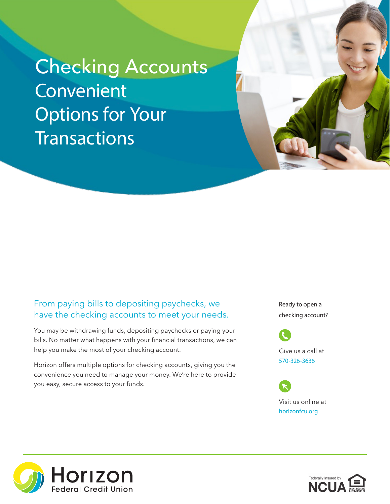## Checking Accounts Convenient Options for Your **Transactions**



You may be withdrawing funds, depositing paychecks or paying your bills. No matter what happens with your financial transactions, we can help you make the most of your checking account.

Horizon offers multiple options for checking accounts, giving you the convenience you need to manage your money. We're here to provide you easy, secure access to your funds.

Ready to open a checking account?

Give us a call at 570-326-3636

Visit us online at horizonfcu.org